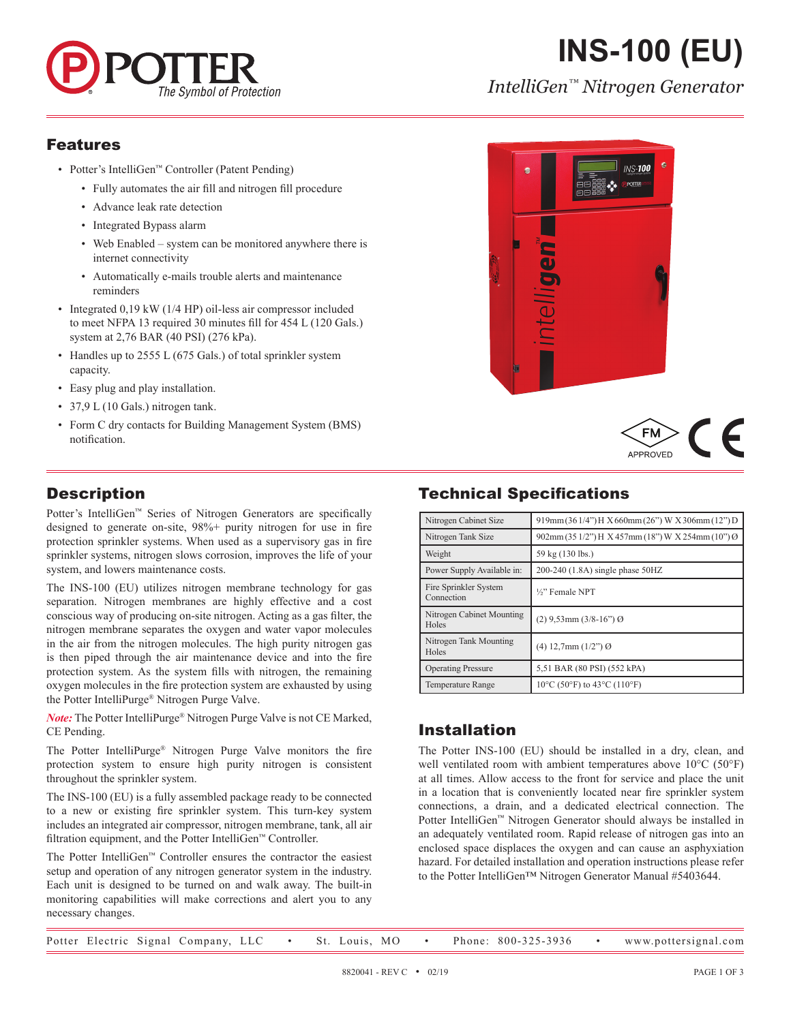

# **INS-100 (EU)**

*IntelliGen™ Nitrogen Generator*

#### Features

- Potter's IntelliGen™ Controller (Patent Pending)
	- Fully automates the air fill and nitrogen fill procedure
	- Advance leak rate detection
	- Integrated Bypass alarm
	- Web Enabled system can be monitored anywhere there is internet connectivity
	- Automatically e-mails trouble alerts and maintenance reminders
- Integrated 0.19 kW (1/4 HP) oil-less air compressor included to meet NFPA 13 required 30 minutes fill for 454 L (120 Gals.) system at 2,76 BAR (40 PSI) (276 kPa).
- Handles up to 2555 L (675 Gals.) of total sprinkler system capacity.
- Easy plug and play installation.
- 37,9 L (10 Gals.) nitrogen tank.
- Form C dry contacts for Building Management System (BMS) notification.

### **Description**

Potter's IntelliGen™ Series of Nitrogen Generators are specifically designed to generate on-site, 98%+ purity nitrogen for use in fire protection sprinkler systems. When used as a supervisory gas in fire sprinkler systems, nitrogen slows corrosion, improves the life of your system, and lowers maintenance costs.

The INS-100 (EU) utilizes nitrogen membrane technology for gas separation. Nitrogen membranes are highly effective and a cost conscious way of producing on-site nitrogen. Acting as a gas filter, the nitrogen membrane separates the oxygen and water vapor molecules in the air from the nitrogen molecules. The high purity nitrogen gas is then piped through the air maintenance device and into the fire protection system. As the system fills with nitrogen, the remaining oxygen molecules in the fire protection system are exhausted by using the Potter IntelliPurge® Nitrogen Purge Valve.

*Note:* The Potter IntelliPurge® Nitrogen Purge Valve is not CE Marked, CE Pending.

The Potter IntelliPurge® Nitrogen Purge Valve monitors the fire protection system to ensure high purity nitrogen is consistent throughout the sprinkler system.

The INS-100 (EU) is a fully assembled package ready to be connected to a new or existing fire sprinkler system. This turn-key system includes an integrated air compressor, nitrogen membrane, tank, all air filtration equipment, and the Potter IntelliGen™ Controller.

The Potter IntelliGen™ Controller ensures the contractor the easiest setup and operation of any nitrogen generator system in the industry. Each unit is designed to be turned on and walk away. The built-in monitoring capabilities will make corrections and alert you to any necessary changes.





## Technical Specifications

| Nitrogen Cabinet Size               | 919mm(361/4") H X 660mm(26") W X 306mm(12") D     |
|-------------------------------------|---------------------------------------------------|
| Nitrogen Tank Size                  | 902mm (35 1/2") H X 457mm (18") W X 254mm (10") Ø |
| Weight                              | 59 kg (130 lbs.)                                  |
| Power Supply Available in:          | 200-240 (1.8A) single phase 50HZ                  |
| Fire Sprinkler System<br>Connection | 1/ <sub>2</sub> " Female NPT                      |
| Nitrogen Cabinet Mounting<br>Holes  | $(2)$ 9,53mm $(3/8-16)$ <sup>"</sup> ) Ø          |
| Nitrogen Tank Mounting<br>Holes     | $(4)$ 12,7mm $(1/2)$ <sup>"</sup> ) $\Theta$      |
| <b>Operating Pressure</b>           | 5,51 BAR (80 PSI) (552 kPA)                       |
| <b>Temperature Range</b>            | 10°C (50°F) to 43°C (110°F)                       |

#### Installation

The Potter INS-100 (EU) should be installed in a dry, clean, and well ventilated room with ambient temperatures above 10°C (50°F) at all times. Allow access to the front for service and place the unit in a location that is conveniently located near fire sprinkler system connections, a drain, and a dedicated electrical connection. The Potter IntelliGen™ Nitrogen Generator should always be installed in an adequately ventilated room. Rapid release of nitrogen gas into an enclosed space displaces the oxygen and can cause an asphyxiation hazard. For detailed installation and operation instructions please refer to the Potter IntelliGen™ Nitrogen Generator Manual #5403644.

|  |  |  | Potter Electric Signal Company, LLC |  |  |  | St. Louis, MO |  |  |  | Phone: 800-325-3936 |  | www.pottersignal.com |
|--|--|--|-------------------------------------|--|--|--|---------------|--|--|--|---------------------|--|----------------------|
|--|--|--|-------------------------------------|--|--|--|---------------|--|--|--|---------------------|--|----------------------|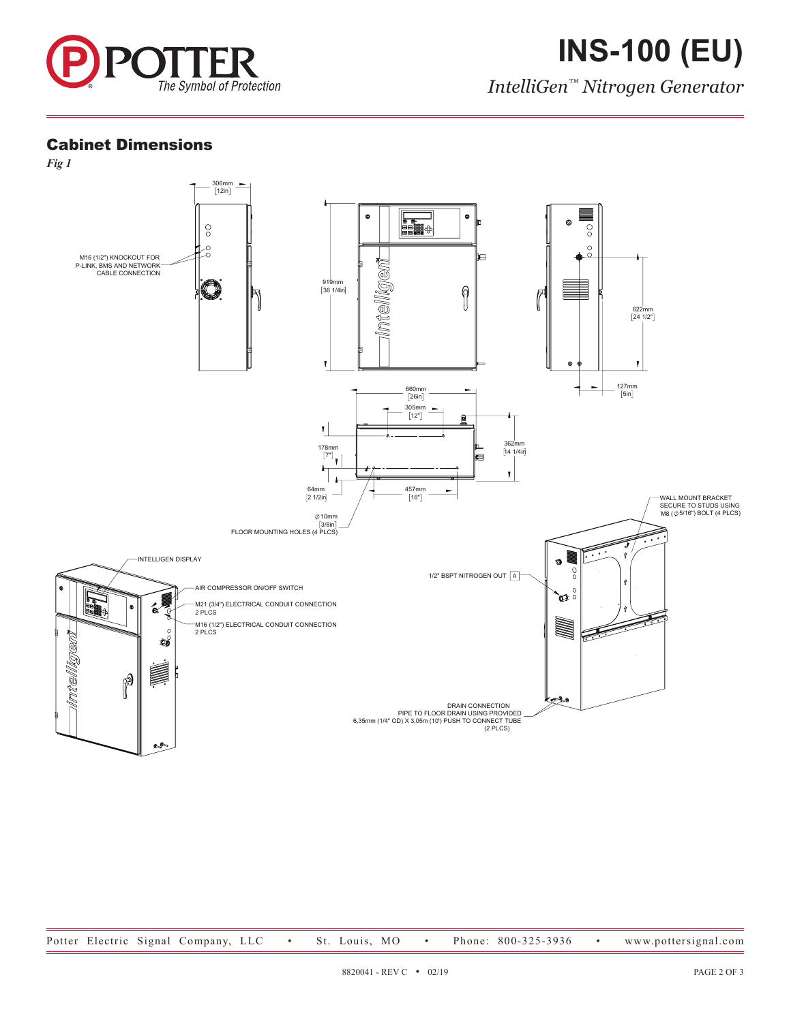

*IntelliGen™ Nitrogen Generator*

#### Cabinet Dimensions